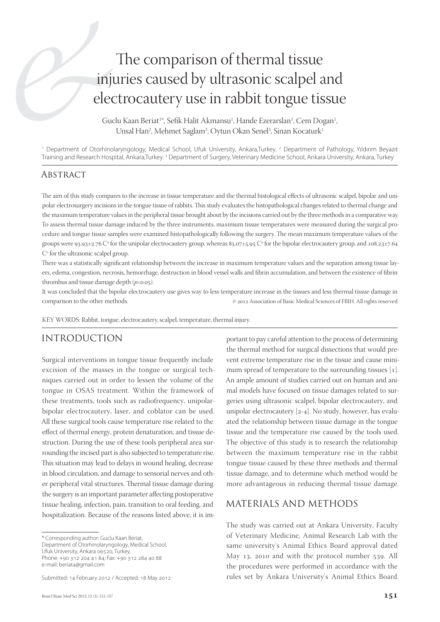# The comparison of thermal tissue injuries caused by ultrasonic scalpel and electrocautery use in rabbit tongue tissue

Guclu Kaan Beriat<sup>1</sup>\*, Sefik Halit Akmansu<sup>1</sup>, Hande Ezerarslan<sup>1</sup>, Cem Dogan<sup>1</sup> , Unsal Han<sup>2</sup>, Mehmet Saglam<sup>3</sup>, Oytun Okan Senel<sup>3</sup>, Sinan Kocaturk<sup>1</sup>

1 Department of Otorhinolaryngology, Medical School, Ufuk University, Ankara,Turkey. 2 Department of Pathology, Yıldırım Beyazıt Training and Research Hospital, Ankara,Turkey. 3 Department of Surgery, Veterinary Medicine School, Ankara University, Ankara, Turkey

#### **ABSTRACT**

The aim of this study compares to the increase in tissue temperature and the thermal histological effects of ultrasonic scalpel, bipolar and unipolar electrosurgery incisions in the tongue tissue of rabbits. This study evaluates the histopathological changes related to thermal change and the maximum temperature values in the peripheral tissue brought about by the incisions carried out by the three methods in a comparative way. To assess thermal tissue damage induced by the three instruments, maximum tissue temperatures were measured during the surgical procedure and tongue tissue samples were examined histopathologically following the surgery. The mean maximum temperature values of the groups were 93.93±2.76 C° for the unipolar electrocautery group, whereas 85.07±5.95 C° for the bipolar electrocautery group, and 108.23±7.64 Cº for the ultrasonic scalpel group.

There was a statistically significant relationship between the increase in maximum temperature values and the separation among tissue layers, edema, congestion, necrosis, hemorrhage, destruction in blood vessel walls and fibrin accumulation, and between the existence of fibrin thrombus and tissue damage depth  $(p<0.05)$ .

It was concluded that the bipolar electrocautery use gives way to less temperature increase in the tissues and less thermal tissue damage in comparison to the other methods.  $@{2012}$  Association of Basic Medical Sciences of FBIH. All rights reserved

KEY WORDS: Rabbit, tongue, electrocautery, scalpel, temperature, thermal injury.

#### INTRODUCTION

Surgical interventions in tongue tissue frequently include excision of the masses in the tongue or surgical techniques carried out in order to lessen the volume of the tongue in OSAS treatment. Within the framework of these treatments, tools such as radiofrequency, unipolarbipolar electrocautery, laser, and coblator can be used. All these surgical tools cause temperature rise related to the effect of thermal energy, protein denaturation, and tissue destruction. During the use of these tools peripheral area surrounding the incised part is also subjected to temperature rise. This situation may lead to delays in wound healing, decrease in blood circulation, and damage to sensorial nerves and other peripheral vital structures. Thermal tissue damage during the surgery is an important parameter affecting postoperative tissue healing, infection, pain, transition to oral feeding, and hospitalization. Because of the reasons listed above, it is im-

Submitted: 14 February 2012 / Accepted: 18 May 2012

portant to pay careful attention to the process of determining the thermal method for surgical dissections that would prevent extreme temperature rise in the tissue and cause minimum spread of temperature to the surrounding tissues  $[1]$ . An ample amount of studies carried out on human and animal models have focused on tissue damages related to surgeries using ultrasonic scalpel, bipolar electrocautery, and unipolar electrocautery  $[2-4]$ . No study, however, has evaluated the relationship between tissue damage in the tongue tissue and the temperature rise caused by the tools used. The objective of this study is to research the relationship between the maximum temperature rise in the rabbit tongue tissue caused by these three methods and thermal tissue damage, and to determine which method would be more advantageous in reducing thermal tissue damage.

#### MATERIALS AND METHODS

The study was carried out at Ankara University, Faculty of Veterinary Medicine, Animal Research Lab with the same university's Animal Ethics Board approval dated May  $13$ , 2010 and with the protocol number 539. All the procedures were performed in accordance with the rules set by Ankara University's Animal Ethics Board.

<sup>\*</sup> Corresponding author: Guclu Kaan Beriat, Department of Otorhinolaryngology, Medical School, Ufuk University, Ankara 06520, Turkey, Phone: +90 312 204 41 84; Fax: +90 312 284 40 88 e-mail: beriat4@gmail.com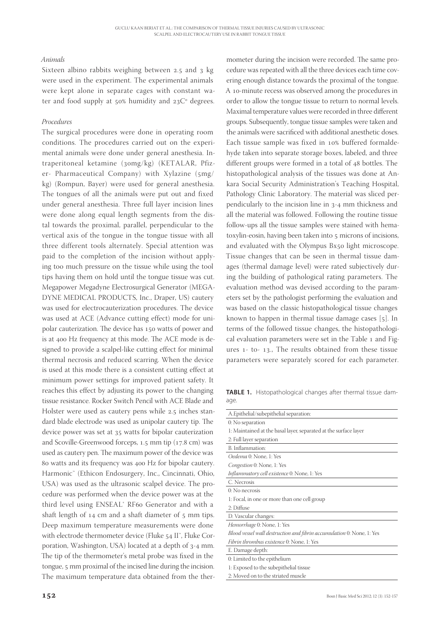#### *Animals*

Sixteen albino rabbits weighing between  $2.5$  and  $3$  kg were used in the experiment. The experimental animals were kept alone in separate cages with constant water and food supply at  $50\%$  humidity and  $23C<sup>o</sup>$  degrees.

#### *Procedures*

The surgical procedures were done in operating room conditions. The procedures carried out on the experimental animals were done under general anesthesia. Intraperitoneal ketamine (30mg/kg) (KETALAR, Pfizer- Pharmaceutical Company) with Xylazine  $(smg/$ kg) (Rompun, Bayer) were used for general anesthesia. The tongues of all the animals were put out and fixed under general anesthesia. Three full layer incision lines were done along equal length segments from the distal towards the proximal, parallel, perpendicular to the vertical axis of the tongue in the tongue tissue with all three different tools alternately. Special attention was paid to the completion of the incision without applying too much pressure on the tissue while using the tool tips having them on hold until the tongue tissue was cut. Megapower Megadyne Electrosurgical Generator (MEGA-DYNE MEDICAL PRODUCTS, Inc., Draper, US) cautery was used for electrocauterization procedures. The device was used at ACE (Advance cutting effect) mode for unipolar cauterization. The device has 150 watts of power and is at 400 Hz frequency at this mode. The ACE mode is designed to provide a scalpel-like cutting effect for minimal thermal necrosis and reduced scarring. When the device is used at this mode there is a consistent cutting effect at minimum power settings for improved patient safety. It reaches this effect by adjusting its power to the changing tissue resistance. Rocker Switch Pencil with ACE Blade and Holster were used as cautery pens while 2.5 inches standard blade electrode was used as unipolar cautery tip. The device power was set at 35 watts for bipolar cauterization and Scoville-Greenwood forceps, 1.5 mm tip (17.8 cm) was used as cautery pen. The maximum power of the device was 80 watts and its frequency was 400 Hz for bipolar cautery. Harmonic™ (Ethicon Endosurgery, Inc., Cincinnati, Ohio, USA) was used as the ultrasonic scalpel device. The procedure was performed when the device power was at the third level using ENSEAL® RF60 Generator and with a shaft length of  $14$  cm and a shaft diameter of  $5$  mm tips. Deep maximum temperature measurements were done with electrode thermometer device (Fluke 54 II", Fluke Corporation, Washington, USA) located at a depth of 3-4 mm. The tip of the thermometer's metal probe was fixed in the tongue, 5 mm proximal of the incised line during the incision. The maximum temperature data obtained from the ther-

mometer during the incision were recorded. The same procedure was repeated with all the three devices each time covering enough distance towards the proximal of the tongue. A 10-minute recess was observed among the procedures in order to allow the tongue tissue to return to normal levels. Maximal temperature values were recorded in three different groups. Subsequently, tongue tissue samples were taken and the animals were sacrificed with additional anesthetic doses. Each tissue sample was fixed in 10% buffered formaldehyde taken into separate storage boxes, labeled, and three different groups were formed in a total of 48 bottles. The histopathological analysis of the tissues was done at Ankara Social Security Administration's Teaching Hospital, Pathology Clinic Laboratory. The material was sliced perpendicularly to the incision line in  $3-4$  mm thickness and all the material was followed. Following the routine tissue follow-ups all the tissue samples were stained with hematoxylin-eosin, having been taken into 5 microns of incisions, and evaluated with the Olympus Bx50 light microscope. Tissue changes that can be seen in thermal tissue damages (thermal damage level) were rated subjectively during the building of pathological rating parameters. The evaluation method was devised according to the parameters set by the pathologist performing the evaluation and was based on the classic histopathological tissue changes known to happen in thermal tissue damage cases  $[5]$ . In terms of the followed tissue changes, the histopathological evaluation parameters were set in the Table 1 and Figures 1- to- 13., The results obtained from these tissue parameters were separately scored for each parameter.

**TABLE 1.** Histopathological changes after thermal tissue damage.

| A. Epithelial/subepithelial separation:                               |
|-----------------------------------------------------------------------|
| 0: No separation                                                      |
| 1: Maintained at the basal layer, separated at the surface layer      |
| 2: Full layer separation                                              |
| B. Inflammation:                                                      |
| Oedema 0: None, 1: Yes                                                |
| Congestion 0: None, 1: Yes                                            |
| Inflammatory cell existence 0: None, 1: Yes                           |
| C. Necrosis                                                           |
| $0:$ No necrosis                                                      |
| 1: Focal, in one or more than one cell group                          |
| 2: Diffuse                                                            |
| D. Vascular changes:                                                  |
| Hemorrhage 0: None, 1: Yes                                            |
| Blood vessel wall destruction and fibrin accumulation 0: None, 1: Yes |
| Fibrin thrombus existence 0: None, 1: Yes                             |
| E. Damage depth:                                                      |
| 0: Limited to the epithelium                                          |
| 1: Exposed to the subepithelial tissue                                |
| 2: Moved on to the striated muscle                                    |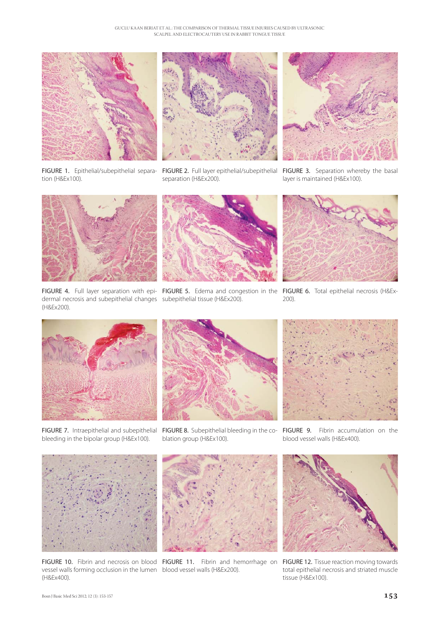



FIGURE 1. Epithelial/subepithelial separation (H&Ex100).

FIGURE 2. Full layer epithelial/subepithelial FIGURE 3. Separation whereby the basal separation (H&Ex200).



layer is maintained (H&Ex100).



dermal necrosis and subepithelial changes subepithelial tissue (H&Ex200). (H&Ex200).



FIGURE 4. Full layer separation with epi- FIGURE 5. Edema and congestion in the FIGURE 6. Total epithelial necrosis (H&Ex-



200).



FIGURE 7. Intraepithelial and subepithelial FIGURE 8. Subepithelial bleeding in the co- FIGURE 9. Fibrin accumulation on the bleeding in the bipolar group (H&Ex100).



blation group (H&Ex100).



blood vessel walls (H&Ex400).



vessel walls forming occlusion in the lumen blood vessel walls (H&Ex200). (H&Ex400).



FIGURE 10. Fibrin and necrosis on blood FIGURE 11. Fibrin and hemorrhage on FIGURE 12. Tissue reaction moving towards



total epithelial necrosis and striated muscle tissue (H&Ex100).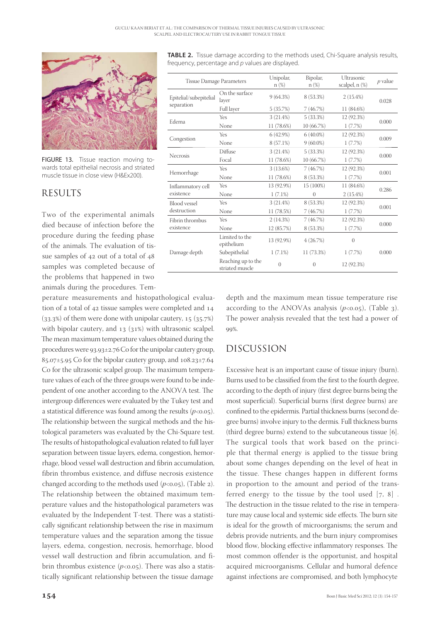

FIGURE 13. Tissue reaction moving towards total epithelial necrosis and striated muscle tissue in close view (H&Ex200).

#### RESULTS

Two of the experimental animals died because of infection before the procedure during the feeding phase of the animals. The evaluation of tissue samples of  $42$  out of a total of  $48$ samples was completed because of the problems that happened in two animals during the procedures. Tem-

perature measurements and histopathological evaluation of a total of  $42$  tissue samples were completed and  $14$  $(33.3%)$  of them were done with unipolar cautery,  $15$   $(35.7%)$ with bipolar cautery, and  $13$  ( $31\%$ ) with ultrasonic scalpel. The mean maximum temperature values obtained during the procedures were  $93.93 \pm 2.76$  Co for the unipolar cautery group,  $85.07\pm5.95$  Co for the bipolar cautery group, and  $108.23\pm7.64$ Co for the ultrasonic scalpel group. The maximum temperature values of each of the three groups were found to be independent of one another according to the ANOVA test. The intergroup differences were evaluated by the Tukey test and a statistical difference was found among the results  $(p<0.05)$ . The relationship between the surgical methods and the histological parameters was evaluated by the Chi-Square test. The results of histopathological evaluation related to full layer separation between tissue layers, edema, congestion, hemorrhage, blood vessel wall destruction and fibrin accumulation, fibrin thrombus existence, and diffuse necrosis existence changed according to the methods used  $(p<0.05)$ , (Table 2). The relationship between the obtained maximum temperature values and the histopathological parameters was evaluated by the Independent T-test. There was a statistically significant relationship between the rise in maximum temperature values and the separation among the tissue layers, edema, congestion, necrosis, hemorrhage, blood vessel wall destruction and fibrin accumulation, and fibrin thrombus existence  $(p<0.05)$ . There was also a statistically significant relationship between the tissue damage

**TABLE 2.** Tissue damage according to the methods used, Chi-Square analysis results, frequency, percentage and *p* values are displayed.

| <b>Tissue Damage Parameters</b>      |                                       | Unipolar,<br>$n(\%)$ | Bipolar,<br>$n(\%)$ | Ultrasonic<br>scalpel, n (%) | $p$ value |
|--------------------------------------|---------------------------------------|----------------------|---------------------|------------------------------|-----------|
| Epitelial/subepitelial<br>separation | On the surface<br>layer               | 9(64.3%)             | 8 (53.3%)           | 2(15.4%)                     | 0.028     |
|                                      | Full layer                            | 5 (35.7%)            | 7(46.7%)            | 11 (84.6%)                   |           |
| Edema                                | Yes                                   | 3(21.4%)             | 5(33.3%)            | 12 (92.3%)                   | 0.000     |
|                                      | None                                  | 11 (78.6%)           | 10 (66.7%)          | 1(7.7%)                      |           |
| Congestion                           | Yes                                   | 6(42.9%)             | $6(40.0\%)$         | 12 (92.3%)                   | 0.009     |
|                                      | None                                  | 8 (57.1%)            | $9(60.0\%)$         | 1(7.7%)                      |           |
| <b>Necrosis</b>                      | Diffuse                               | 3(21.4%)             | 5(33.3%)            | 12 (92.3%)                   | 0.000     |
|                                      | Focal                                 | 11 (78.6%)           | 10 (66.7%)          | 1(7.7%)                      |           |
| Hemorrhage                           | Yes                                   | 3(13.6%)             | 7(46.7%)            | 12 (92.3%)                   | 0.001     |
|                                      | None                                  | 11 (78.6%)           | 8 (53.3%)           | 1(7.7%)                      |           |
| Inflammatory cell<br>existence       | Yes                                   | 13 (92.9%)           | 15 (100%)           | 11 (84.6%)                   | 0.286     |
|                                      | None                                  | $1(7.1\%)$           | $\Omega$            | 2(15.4%)                     |           |
| <b>Blood</b> vessel<br>destruction   | Yes                                   | 3(21.4%)             | 8 (53.3%)           | 12 (92.3%)                   | 0.001     |
|                                      | None                                  | 11 (78.5%)           | 7(46.7%)            | 1(7.7%)                      |           |
| Fibrin thrombus<br>existence         | Yes                                   | 2(14.3%)             | 7(46.7%)            | 12 (92.3%)                   | 0.000     |
|                                      | None                                  | 12 (85.7%)           | 8 (53.3%)           | 1(7.7%)                      |           |
| Damage depth                         | Limited to the<br>epithelium          | 13 (92.9%)           | 4(26.7%)            | $\left( \right)$             |           |
|                                      | Subepithelial                         | 1(7.1%)              | 11 (73.3%)          | 1(7.7%)                      | 0.000     |
|                                      | Reaching up to the<br>striated muscle | $\overline{0}$       | $\theta$            | 12 (92.3%)                   |           |

depth and the maximum mean tissue temperature rise according to the ANOVAs analysis  $(p<0.05)$ , (Table 3). The power analysis revealed that the test had a power of 99%.

### DISCUSSION

Excessive heat is an important cause of tissue injury (burn). Burns used to be classified from the first to the fourth degree, according to the depth of injury (first degree burns being the most superficial). Superficial burns (first degree burns) are confined to the epidermis. Partial thickness burns (second degree burns) involve injury to the dermis. Full thickness burns (third degree burns) extend to the subcutaneous tissue  $[6]$ . The surgical tools that work based on the principle that thermal energy is applied to the tissue bring about some changes depending on the level of heat in the tissue. These changes happen in different forms in proportion to the amount and period of the transferred energy to the tissue by the tool used  $[7, 8]$ . The destruction in the tissue related to the rise in temperature may cause local and systemic side effects. The burn site is ideal for the growth of microorganisms; the serum and debris provide nutrients, and the burn injury compromises blood flow, blocking effective inflammatory responses. The most common offender is the opportunist, and hospital acquired microorganisms. Cellular and humoral defence against infections are compromised, and both lymphocyte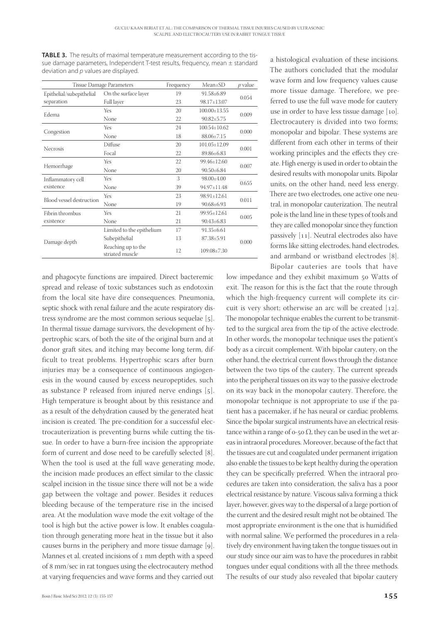**TABLE 3.** The results of maximal temperature measurement according to the tissue damage parameters, Independent T-test results, frequency, mean ± standard deviation and *p* values are displayed.

| <b>Tissue Damage Parameters</b> |                                       | Frequency | $Mean+SD$          | $p$ value |  |
|---------------------------------|---------------------------------------|-----------|--------------------|-----------|--|
| Epithelial/subepithelial        | On the surface layer                  | 19        | $91.58 \pm 6.89$   | 0.054     |  |
| separation                      | Full layer                            | 23        | 98.17+13.07        |           |  |
| Edema                           | Yes                                   | 20        | $100.00 \pm 13.55$ | 0.009     |  |
|                                 | None                                  | 22        | $90.82 \pm 5.75$   |           |  |
| Congestion                      | Yes                                   | 24        | $100.54 + 10.62$   | 0.000     |  |
|                                 | None                                  | 18        | 88.06+7.15         |           |  |
| <b>Necrosis</b>                 | Diffuse                               | 20        | $101.05 \pm 12.09$ | 0.001     |  |
|                                 | Focal                                 | 22        | 89.86+6.83         |           |  |
| Hemorrhage                      | Yes                                   | 22        | 99.46+12.60        | 0.007     |  |
|                                 | None                                  | 20        | $90.50 \pm 6.84$   |           |  |
| Inflammatory cell               | Yes                                   | 3         | $98.00 \pm 4.00$   | 0.655     |  |
| existence                       | None                                  | 39        | 94.97+11.48        |           |  |
| Blood vessel destruction        | Yes                                   | 23        | $98.91 \pm 12.61$  | 0.011     |  |
|                                 | None                                  | 19        | $90.68 \pm 6.93$   |           |  |
| Fibrin thrombus<br>existence    | Yes                                   | 21        | 99.95±12.61        | 0.005     |  |
|                                 | None                                  | 21        | $90.43 \pm 6.83$   |           |  |
| Damage depth                    | Limited to the epithelium             | 17        | $91.35 \pm 6.61$   |           |  |
|                                 | Subepithelial                         | 13        | $87.38 \pm 5.91$   | 0.000     |  |
|                                 | Reaching up to the<br>striated muscle | 12        | $109.08 \pm 7.30$  |           |  |

and phagocyte functions are impaired. Direct bacteremic spread and release of toxic substances such as endotoxin from the local site have dire consequences. Pneumonia, septic shock with renal failure and the acute respiratory distress syndrome are the most common serious sequelae  $[5]$ . In thermal tissue damage survivors, the development of hypertrophic scars, of both the site of the original burn and at donor graft sites, and itching may become long term, difficult to treat problems. Hypertrophic scars after burn injuries may be a consequence of continuous angiogenesis in the wound caused by excess neuropeptides, such as substance P released from injured nerve endings  $[5]$ . High temperature is brought about by this resistance and as a result of the dehydration caused by the generated heat incision is created. The pre-condition for a successful electrocauterization is preventing burns while cutting the tissue. In order to have a burn-free incision the appropriate form of current and dose need to be carefully selected [8]. When the tool is used at the full wave generating mode, the incision made produces an effect similar to the classic scalpel incision in the tissue since there will not be a wide gap between the voltage and power. Besides it reduces bleeding because of the temperature rise in the incised area. At the modulation wave mode the exit voltage of the tool is high but the active power is low. It enables coagulation through generating more heat in the tissue but it also causes burns in the periphery and more tissue damage  $[g]$ . Mannes et al. created incisions of 1 mm depth with a speed of 8 mm/sec in rat tongues using the electrocautery method at varying frequencies and wave forms and they carried out

a histological evaluation of these incisions. The authors concluded that the modular wave form and low frequency values cause more tissue damage. Therefore, we preferred to use the full wave mode for cautery use in order to have less tissue damage [10]. Electrocautery is divided into two forms; monopolar and bipolar. These systems are different from each other in terms of their working principles and the effects they create. High energy is used in order to obtain the desired results with monopolar units. Bipolar units, on the other hand, need less energy. There are two electrodes, one active one neutral, in monopolar cauterization. The neutral pole is the land line in these types of tools and they are called monopolar since they function passively  $[11]$ . Neutral electrodes also have forms like sitting electrodes, hand electrodes, and armband or wristband electrodes [8]. Bipolar cauteries are tools that have

low impedance and they exhibit maximum 50 Watts of exit. The reason for this is the fact that the route through which the high-frequency current will complete its circuit is very short; otherwise an arc will be created  $[12]$ . The monopolar technique enables the current to be transmitted to the surgical area from the tip of the active electrode. In other words, the monopolar technique uses the patient's body as a circuit complement. With bipolar cautery, on the other hand, the electrical current flows through the distance between the two tips of the cautery. The current spreads into the peripheral tissues on its way to the passive electrode on its way back in the monopolar cautery. Therefore, the monopolar technique is not appropriate to use if the patient has a pacemaker, if he has neural or cardiac problems. Since the bipolar surgical instruments have an electrical resistance within a range of  $o$ -50  $\Omega$ , they can be used in the wet areas in intraoral procedures. Moreover, because of the fact that the tissues are cut and coagulated under permanent irrigation also enable the tissues to be kept healthy during the operation they can be specifically preferred. When the intraoral procedures are taken into consideration, the saliva has a poor electrical resistance by nature. Viscous saliva forming a thick layer, however, gives way to the dispersal of a large portion of the current and the desired result might not be obtained. The most appropriate environment is the one that is humidified with normal saline. We performed the procedures in a relatively dry environment having taken the tongue tissues out in our study since our aim was to have the procedures in rabbit tongues under equal conditions with all the three methods. The results of our study also revealed that bipolar cautery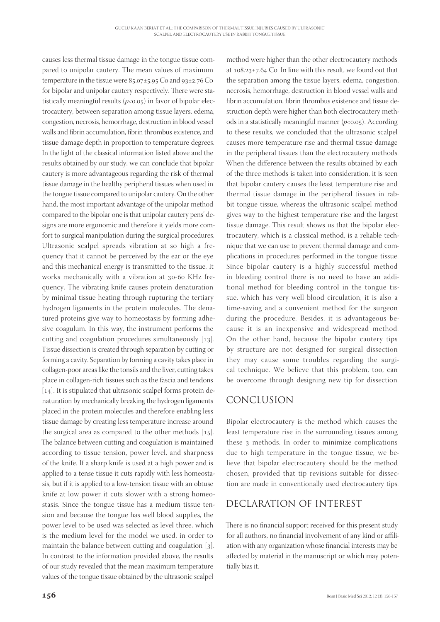causes less thermal tissue damage in the tongue tissue compared to unipolar cautery. The mean values of maximum temperature in the tissue were  $85.07 \pm 5.95$  Co and  $93 \pm 2.76$  Co for bipolar and unipolar cautery respectively. There were statistically meaningful results  $(p<0.05)$  in favor of bipolar electrocautery, between separation among tissue layers, edema, congestion, necrosis, hemorrhage, destruction in blood vessel walls and fibrin accumulation, fibrin thrombus existence, and tissue damage depth in proportion to temperature degrees. In the light of the classical information listed above and the results obtained by our study, we can conclude that bipolar cautery is more advantageous regarding the risk of thermal tissue damage in the healthy peripheral tissues when used in the tongue tissue compared to unipolar cautery. On the other hand, the most important advantage of the unipolar method compared to the bipolar one is that unipolar cautery pens' designs are more ergonomic and therefore it yields more comfort to surgical manipulation during the surgical procedures. Ultrasonic scalpel spreads vibration at so high a frequency that it cannot be perceived by the ear or the eye and this mechanical energy is transmitted to the tissue. It works mechanically with a vibration at 30-60 KHz frequency. The vibrating knife causes protein denaturation by minimal tissue heating through rupturing the tertiary hydrogen ligaments in the protein molecules. The denatured proteins give way to homeostasis by forming adhesive coagulum. In this way, the instrument performs the cutting and coagulation procedures simultaneously  $[13]$ . Tissue dissection is created through separation by cutting or forming a cavity. Separation by forming a cavity takes place in collagen-poor areas like the tonsils and the liver, cutting takes place in collagen-rich tissues such as the fascia and tendons  $[14]$ . It is stipulated that ultrasonic scalpel forms protein denaturation by mechanically breaking the hydrogen ligaments placed in the protein molecules and therefore enabling less tissue damage by creating less temperature increase around the surgical area as compared to the other methods  $[15]$ . The balance between cutting and coagulation is maintained according to tissue tension, power level, and sharpness of the knife. If a sharp knife is used at a high power and is applied to a tense tissue it cuts rapidly with less homeostasis, but if it is applied to a low-tension tissue with an obtuse knife at low power it cuts slower with a strong homeostasis. Since the tongue tissue has a medium tissue tension and because the tongue has well blood supplies, the power level to be used was selected as level three, which is the medium level for the model we used, in order to maintain the balance between cutting and coagulation  $[3]$ . In contrast to the information provided above, the results of our study revealed that the mean maximum temperature values of the tongue tissue obtained by the ultrasonic scalpel

method were higher than the other electrocautery methods at  $108.23 \pm 7.64$  Co. In line with this result, we found out that the separation among the tissue layers, edema, congestion, necrosis, hemorrhage, destruction in blood vessel walls and fibrin accumulation, fibrin thrombus existence and tissue destruction depth were higher than both electrocautery methods in a statistically meaningful manner  $(p<0.05)$ . According to these results, we concluded that the ultrasonic scalpel causes more temperature rise and thermal tissue damage in the peripheral tissues than the electrocautery methods. When the difference between the results obtained by each of the three methods is taken into consideration, it is seen that bipolar cautery causes the least temperature rise and thermal tissue damage in the peripheral tissues in rabbit tongue tissue, whereas the ultrasonic scalpel method gives way to the highest temperature rise and the largest tissue damage. This result shows us that the bipolar electrocautery, which is a classical method, is a reliable technique that we can use to prevent thermal damage and complications in procedures performed in the tongue tissue. Since bipolar cautery is a highly successful method in bleeding control there is no need to have an additional method for bleeding control in the tongue tissue, which has very well blood circulation, it is also a time-saving and a convenient method for the surgeon during the procedure. Besides, it is advantageous because it is an inexpensive and widespread method. On the other hand, because the bipolar cautery tips by structure are not designed for surgical dissection they may cause some troubles regarding the surgical technique. We believe that this problem, too, can be overcome through designing new tip for dissection.

### CONCLUSION

Bipolar electrocautery is the method which causes the least temperature rise in the surrounding tissues among these 3 methods. In order to minimize complications due to high temperature in the tongue tissue, we believe that bipolar electrocautery should be the method chosen, provided that tip revisions suitable for dissection are made in conventionally used electrocautery tips.

## DECLARATION OF INTEREST

There is no financial support received for this present study for all authors, no financial involvement of any kind or affiliation with any organization whose financial interests may be affected by material in the manuscript or which may potentially bias it.